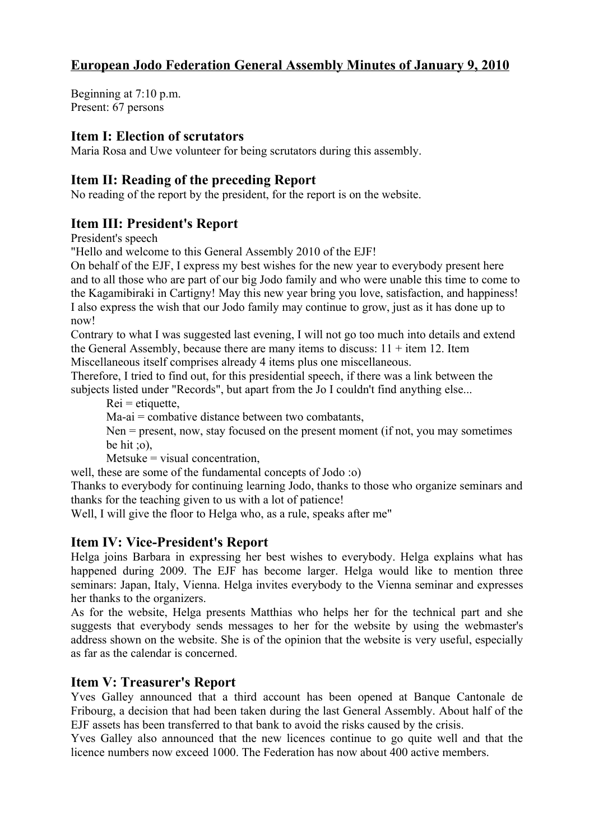# **European Jodo Federation General Assembly Minutes of January 9, 2010**

Beginning at 7:10 p.m. Present: 67 persons

### **Item I: Election of scrutators**

Maria Rosa and Uwe volunteer for being scrutators during this assembly.

## **Item II: Reading of the preceding Report**

No reading of the report by the president, for the report is on the website.

## **Item III: President's Report**

President's speech

"Hello and welcome to this General Assembly 2010 of the EJF!

On behalf of the EJF, I express my best wishes for the new year to everybody present here and to all those who are part of our big Jodo family and who were unable this time to come to the Kagamibiraki in Cartigny! May this new year bring you love, satisfaction, and happiness! I also express the wish that our Jodo family may continue to grow, just as it has done up to now!

Contrary to what I was suggested last evening, I will not go too much into details and extend the General Assembly, because there are many items to discuss:  $11 +$  item 12. Item Miscellaneous itself comprises already 4 items plus one miscellaneous.

Therefore, I tried to find out, for this presidential speech, if there was a link between the subjects listed under "Records", but apart from the Jo I couldn't find anything else...

 $Rei =$ etiquette,

Ma-ai = combative distance between two combatants,

Nen = present, now, stay focused on the present moment (if not, you may sometimes be hit  $\phi$ .

 $Metsuke = visual concentration$ ,

well, these are some of the fundamental concepts of Jodo :o)

Thanks to everybody for continuing learning Jodo, thanks to those who organize seminars and thanks for the teaching given to us with a lot of patience!

Well, I will give the floor to Helga who, as a rule, speaks after me"

#### **Item IV: Vice-President's Report**

Helga joins Barbara in expressing her best wishes to everybody. Helga explains what has happened during 2009. The EJF has become larger. Helga would like to mention three seminars: Japan, Italy, Vienna. Helga invites everybody to the Vienna seminar and expresses her thanks to the organizers.

As for the website, Helga presents Matthias who helps her for the technical part and she suggests that everybody sends messages to her for the website by using the webmaster's address shown on the website. She is of the opinion that the website is very useful, especially as far as the calendar is concerned.

#### **Item V: Treasurer's Report**

Yves Galley announced that a third account has been opened at Banque Cantonale de Fribourg, a decision that had been taken during the last General Assembly. About half of the EJF assets has been transferred to that bank to avoid the risks caused by the crisis.

Yves Galley also announced that the new licences continue to go quite well and that the licence numbers now exceed 1000. The Federation has now about 400 active members.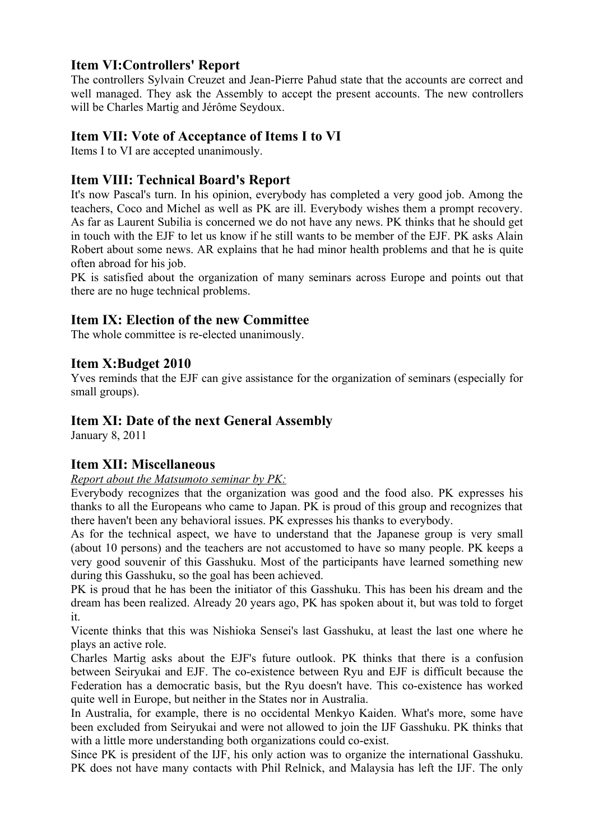# **Item VI:Controllers' Report**

The controllers Sylvain Creuzet and Jean-Pierre Pahud state that the accounts are correct and well managed. They ask the Assembly to accept the present accounts. The new controllers will be Charles Martig and Jérôme Seydoux.

## **Item VII: Vote of Acceptance of Items I to VI**

Items I to VI are accepted unanimously.

## **Item VIII: Technical Board's Report**

It's now Pascal's turn. In his opinion, everybody has completed a very good job. Among the teachers, Coco and Michel as well as PK are ill. Everybody wishes them a prompt recovery. As far as Laurent Subilia is concerned we do not have any news. PK thinks that he should get in touch with the EJF to let us know if he still wants to be member of the EJF. PK asks Alain Robert about some news. AR explains that he had minor health problems and that he is quite often abroad for his job.

PK is satisfied about the organization of many seminars across Europe and points out that there are no huge technical problems.

## **Item IX: Election of the new Committee**

The whole committee is re-elected unanimously.

### **Item X:Budget 2010**

Yves reminds that the EJF can give assistance for the organization of seminars (especially for small groups).

#### **Item XI: Date of the next General Assembly**

January 8, 2011

#### **Item XII: Miscellaneous**

*Report about the Matsumoto seminar by PK:*

Everybody recognizes that the organization was good and the food also. PK expresses his thanks to all the Europeans who came to Japan. PK is proud of this group and recognizes that there haven't been any behavioral issues. PK expresses his thanks to everybody.

As for the technical aspect, we have to understand that the Japanese group is very small (about 10 persons) and the teachers are not accustomed to have so many people. PK keeps a very good souvenir of this Gasshuku. Most of the participants have learned something new during this Gasshuku, so the goal has been achieved.

PK is proud that he has been the initiator of this Gasshuku. This has been his dream and the dream has been realized. Already 20 years ago, PK has spoken about it, but was told to forget it.

Vicente thinks that this was Nishioka Sensei's last Gasshuku, at least the last one where he plays an active role.

Charles Martig asks about the EJF's future outlook. PK thinks that there is a confusion between Seiryukai and EJF. The co-existence between Ryu and EJF is difficult because the Federation has a democratic basis, but the Ryu doesn't have. This co-existence has worked quite well in Europe, but neither in the States nor in Australia.

In Australia, for example, there is no occidental Menkyo Kaiden. What's more, some have been excluded from Seiryukai and were not allowed to join the IJF Gasshuku. PK thinks that with a little more understanding both organizations could co-exist.

Since PK is president of the IJF, his only action was to organize the international Gasshuku. PK does not have many contacts with Phil Relnick, and Malaysia has left the IJF. The only